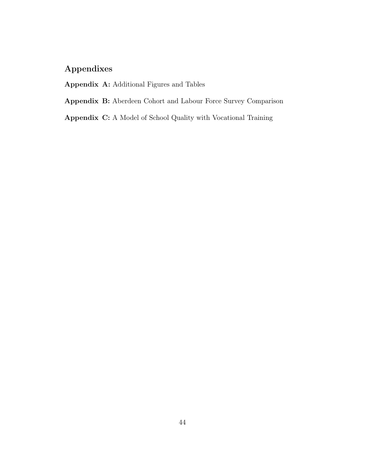## Appendixes

Appendix A: Additional Figures and Tables

Appendix B: Aberdeen Cohort and Labour Force Survey Comparison

Appendix C: A Model of School Quality with Vocational Training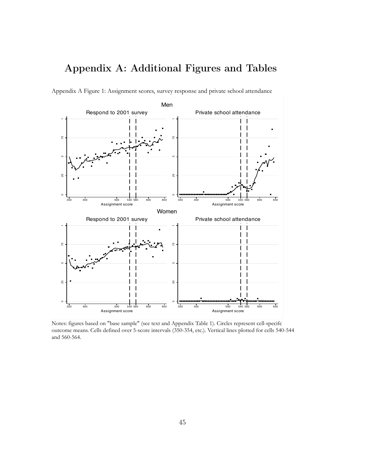# Appendix A: Additional Figures and Tables



Appendix A Figure 1: Assignment scores, survey response and private school attendance

Notes: figures based on "base sample" (see text and Appendix Table 1). Circles represent cell-specifc outcome means. Cells defined over 5-score intervals (350-354, etc.). Vertical lines plotted for cells 540-544 and 560-564.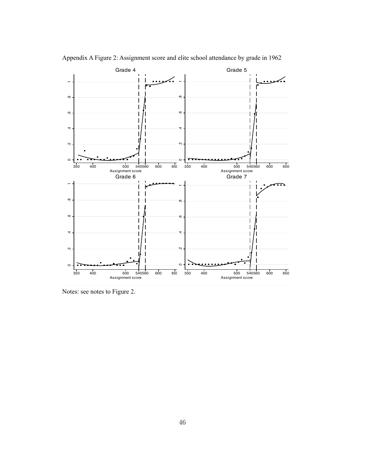

Appendix A Figure 2: Assignment score and elite school attendance by grade in 1962

Notes: see notes to Figure 2.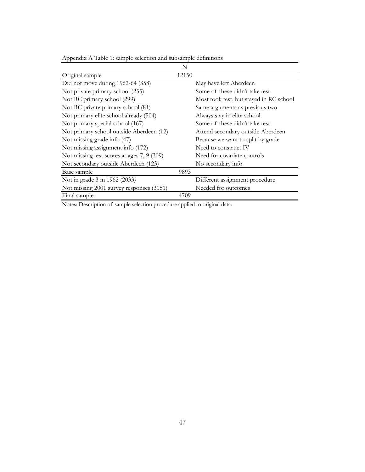|                                            | N                                       |
|--------------------------------------------|-----------------------------------------|
| Original sample                            | 12150                                   |
| Did not move during 1962-64 (358)          | May have left Aberdeen                  |
| Not private primary school (255)           | Some of these didn't take test          |
| Not RC primary school (299)                | Most took test, but stayed in RC school |
| Not RC private primary school (81)         | Same arguments as previous two          |
| Not primary elite school already (504)     | Always stay in elite school             |
| Not primary special school (167)           | Some of these didn't take test          |
| Not primary school outside Aberdeen (12)   | Attend secondary outside Aberdeen       |
| Not missing grade info (47)                | Because we want to split by grade       |
| Not missing assignment info (172)          | Need to construct IV                    |
| Not missing test scores at ages 7, 9 (309) | Need for covariate controls             |
| Not secondary outside Aberdeen (123)       | No secondary info                       |
| Base sample                                | 9893                                    |
| Not in grade 3 in 1962 (2033)              | Different assignment procedure          |
| Not missing 2001 survey responses (3151)   | Needed for outcomes                     |
| Final sample                               | 4709                                    |

Appendix A Table 1: sample selection and subsample definitions

Notes: Description of sample selection procedure applied to original data.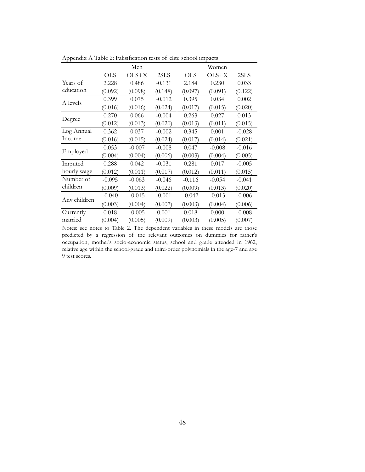|              |            | Men      |          |            | Women    |          |
|--------------|------------|----------|----------|------------|----------|----------|
|              | <b>OLS</b> | $OLS+X$  | 2SLS     | <b>OLS</b> | $OLS+X$  | 2SLS     |
| Years of     | 2.228      | 0.486    | $-0.131$ | 2.184      | 0.230    | 0.033    |
| education    | (0.092)    | (0.098)  | (0.148)  | (0.097)    | (0.091)  | (0.122)  |
| A levels     | 0.399      | 0.075    | $-0.012$ | 0.395      | 0.034    | 0.002    |
|              | (0.016)    | (0.016)  | (0.024)  | (0.017)    | (0.015)  | (0.020)  |
|              | 0.270      | 0.066    | $-0.004$ | 0.263      | 0.027    | 0.013    |
| Degree       | (0.012)    | (0.013)  | (0.020)  | (0.013)    | (0.011)  | (0.015)  |
| Log Annual   | 0.362      | 0.037    | $-0.002$ | 0.345      | 0.001    | $-0.028$ |
| Income       | (0.016)    | (0.015)  | (0.024)  | (0.017)    | (0.014)  | (0.021)  |
| Employed     | 0.053      | $-0.007$ | $-0.008$ | 0.047      | $-0.008$ | $-0.016$ |
|              | (0.004)    | (0.004)  | (0.006)  | (0.003)    | (0.004)  | (0.005)  |
| Imputed      | 0.288      | 0.042    | $-0.031$ | 0.281      | 0.017    | $-0.005$ |
| hourly wage  | (0.012)    | (0.011)  | (0.017)  | (0.012)    | (0.011)  | (0.015)  |
| Number of    | $-0.095$   | $-0.063$ | $-0.046$ | $-0.116$   | $-0.054$ | $-0.041$ |
| children     | (0.009)    | (0.013)  | (0.022)  | (0.009)    | (0.013)  | (0.020)  |
|              | $-0.040$   | $-0.015$ | $-0.001$ | $-0.042$   | $-0.013$ | $-0.006$ |
| Any children | (0.003)    | (0.004)  | (0.007)  | (0.003)    | (0.004)  | (0.006)  |
| Currently    | 0.018      | $-0.005$ | 0.001    | 0.018      | 0.000    | $-0.008$ |
| married      | (0.004)    | (0.005)  | (0.009)  | (0.003)    | (0.005)  | (0.007)  |

Appendix A Table 2: Falisification tests of elite school impacts

Notes: see notes to Table 2. The dependent variables in these models are those predicted by a regression of the relevant outcomes on dummies for father's occupation, mother's socio-economic status, school and grade attended in 1962, relative age within the school-grade and third-order polynomials in the age-7 and age-9 test scores.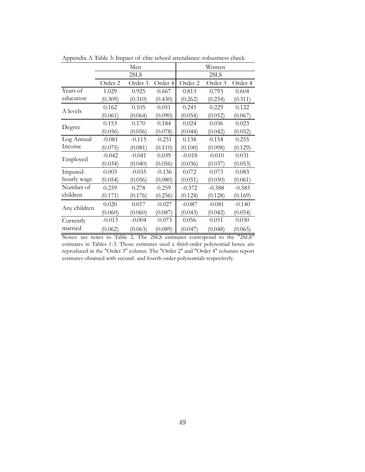|              | Men      |          |          | Women    |          |          |  |
|--------------|----------|----------|----------|----------|----------|----------|--|
|              |          | 2SLS     |          |          | 2SLS     |          |  |
|              | Order 2  | Order 3  | Order 4  | Order 2  | Order 3  | Order 4  |  |
| Years of     | 1.029    | 0.925    | 0.667    | 0.813    | 0.793    | 0.604    |  |
| education    | (0.309)  | (0.310)  | (0.430)  | (0.262)  | (0.254)  | (0.311)  |  |
| A levels     | 0.162    | 0.105    | 0.051    | 0.245    | 0.229    | 0.122    |  |
|              | (0.061)  | (0.064)  | (0.090)  | (0.054)  | (0.052)  | (0.067)  |  |
|              | 0.153    | 0.170    | 0.184    | 0.024    | 0.036    | 0.023    |  |
| Degree       | (0.056)  | (0.056)  | (0.078)  | (0.044)  | (0.042)  | (0.052)  |  |
| Log Annual   | $-0.081$ | $-0.115$ | $-0.251$ | 0.138    | 0.154    | 0.255    |  |
| Income       | (0.075)  | (0.081)  | (0.110)  | (0.100)  | (0.098)  | (0.129)  |  |
| Employed     | $-0.042$ | $-0.041$ | 0.039    | $-0.018$ | $-0.010$ | 0.031    |  |
|              | (0.034)  | (0.040)  | (0.056)  | (0.036)  | (0.037)  | (0.053)  |  |
| Imputed      | 0.003    | $-0.035$ | $-0.136$ | 0.072    | 0.073    | 0.083    |  |
| hourly wage  | (0.054)  | (0.056)  | (0.080)  | (0.051)  | (0.050)  | (0.061)  |  |
| Number of    | 0.259    | 0.278    | 0.259    | $-0.372$ | $-0.388$ | $-0.585$ |  |
| children     | (0.171)  | (0.176)  | (0.256)  | (0.124)  | (0.128)  | (0.169)  |  |
| Any children | 0.020    | 0.017    | $-0.027$ | $-0.087$ | $-0.081$ | $-0.140$ |  |
|              | (0.060)  | (0.060)  | (0.087)  | (0.043)  | (0.042)  | (0.054)  |  |
| Currently    | $-0.013$ | $-0.004$ | $-0.073$ | 0.056    | 0.051    | 0.030    |  |
| married      | (0.062)  | (0.063)  | (0.089)  | (0.047)  | (0.048)  | (0.065)  |  |

Appendix A Table 3: Impact of elite school attendance: robustness check

Notes: see notes to Table 2. The 2SLS estimates correspond to the "2SLS" estimates in Tables 1-3. Those estimates used a third-order polynomial hence are reproduced in the "Order 3" column. The "Order 2" and "Order 4" columns report estimates obtained with second- and fourth-order polynomials respectively.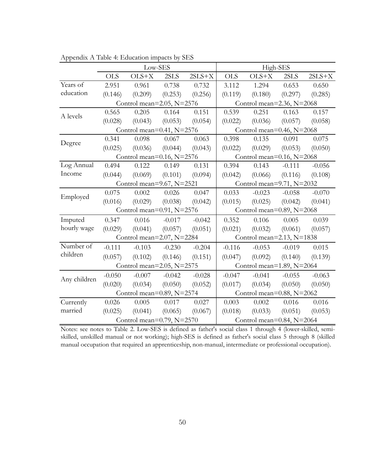|              |                                  | Low-SES                          |          |          |                                  | High-SES                         |          |          |
|--------------|----------------------------------|----------------------------------|----------|----------|----------------------------------|----------------------------------|----------|----------|
|              | <b>OLS</b>                       | $OLS+X$                          | 2SLS     | $2SLS+X$ | <b>OLS</b>                       | $OLS+X$                          | 2SLS     | $2SLS+X$ |
| Years of     | 2.951                            | 0.961                            | 0.738    | 0.732    | 3.112                            | 1.294                            | 0.653    | 0.650    |
| education    | (0.146)                          | (0.209)                          | (0.253)  | (0.256)  | (0.119)                          | (0.180)                          | (0.297)  | (0.285)  |
|              |                                  | Control mean= $2.05$ , N= $2576$ |          |          |                                  | Control mean= $2.36$ , N= $2068$ |          |          |
| A levels     | 0.565                            | 0.205                            | 0.164    | 0.151    | 0.539                            | 0.251                            | 0.163    | 0.157    |
|              | (0.028)                          | (0.043)                          | (0.053)  | (0.054)  | (0.022)                          | (0.036)                          | (0.057)  | (0.058)  |
|              | Control mean= $0.41$ , N= $2576$ |                                  |          |          |                                  | Control mean= $0.46$ , N= $2068$ |          |          |
|              | 0.341                            | 0.098                            | 0.067    | 0.063    | 0.398                            | 0.135                            | 0.091    | 0.075    |
| Degree       | (0.025)                          | (0.036)                          | (0.044)  | (0.043)  | (0.022)                          | (0.029)                          | (0.053)  | (0.050)  |
|              |                                  | Control mean= $0.16$ , N= $2576$ |          |          |                                  | Control mean= $0.16$ , N= $2068$ |          |          |
| Log Annual   | 0.494                            | 0.122                            | 0.149    | 0.131    | 0.394                            | 0.143                            | $-0.111$ | $-0.056$ |
| Income       | (0.044)                          | (0.069)                          | (0.101)  | (0.094)  | (0.042)                          | (0.066)                          | (0.116)  | (0.108)  |
|              | Control mean=9.67, N=2521        |                                  |          |          | Control mean=9.71, N=2032        |                                  |          |          |
| Employed     | 0.075                            | 0.002                            | 0.026    | 0.047    | 0.033                            | $-0.023$                         | $-0.058$ | $-0.070$ |
|              | (0.016)                          | (0.029)                          | (0.038)  | (0.042)  | (0.015)                          | (0.025)                          | (0.042)  | (0.041)  |
|              |                                  | Control mean= $0.91$ , N= $2576$ |          |          | Control mean= $0.89$ , N= $2068$ |                                  |          |          |
| Imputed      | 0.347                            | 0.016                            | $-0.017$ | $-0.042$ | 0.352                            | 0.106                            | 0.005    | 0.039    |
| hourly wage  | (0.029)                          | (0.041)                          | (0.057)  | (0.051)  | (0.021)                          | (0.032)                          | (0.061)  | (0.057)  |
|              |                                  | Control mean=2.07, N=2284        |          |          | Control mean= $2.13$ , N= $1838$ |                                  |          |          |
| Number of    | $-0.111$                         | $-0.103$                         | $-0.230$ | $-0.204$ | $-0.116$                         | $-0.053$                         | $-0.019$ | 0.015    |
| children     | (0.057)                          | (0.102)                          | (0.146)  | (0.151)  | (0.047)                          | (0.092)                          | (0.140)  | (0.139)  |
|              |                                  | Control mean= $2.05$ , N= $2575$ |          |          | Control mean= $1.89$ , N= $2064$ |                                  |          |          |
|              | $-0.050$                         | $-0.007$                         | $-0.042$ | $-0.028$ | $-0.047$                         | $-0.041$                         | $-0.055$ | $-0.063$ |
| Any children | (0.020)                          | (0.034)                          | (0.050)  | (0.052)  | (0.017)                          | (0.034)                          | (0.050)  | (0.050)  |
|              |                                  | Control mean=0.89, N=2574        |          |          |                                  | Control mean=0.88, N=2062        |          |          |
| Currently    | 0.026                            | 0.005                            | 0.017    | 0.027    | 0.003                            | 0.002                            | 0.016    | 0.016    |
| married      | (0.025)                          | (0.041)                          | (0.065)  | (0.067)  | (0.018)                          | (0.033)                          | (0.051)  | (0.053)  |
|              | Control mean=0.79, N=2570        |                                  |          |          |                                  | Control mean=0.84, N=2064        |          |          |

Appendix A Table 4: Education impacts by SES

Notes: see notes to Table 2. Low-SES is defined as father's social class 1 through 4 (lower-skilled, semiskilled, unskilled manual or not working); high-SES is defined as father's social class 5 through 8 (skilled manual occupation that required an apprenticeship, non-manual, intermediate or professional occupation).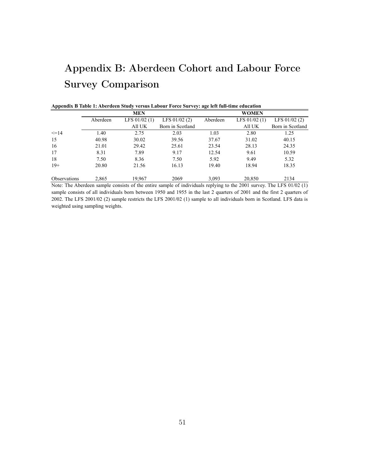# Appendix B: Aberdeen Cohort and Labour Force Survey Comparison

|                     |          | <b>MEN</b>     |                  |          | <b>WOMEN</b>   |                  |
|---------------------|----------|----------------|------------------|----------|----------------|------------------|
|                     | Aberdeen | LFS $01/02(1)$ | LFS $01/02(2)$   | Aberdeen | LFS $01/02(1)$ | LFS $01/02(2)$   |
|                     |          | All UK         | Born in Scotland |          | All UK         | Born in Scotland |
| $\leq$ 14           | 1.40     | 2.75           | 2.03             | 1.03     | 2.80           | 1.25             |
| 15                  | 40.98    | 30.02          | 39.56            | 37.67    | 31.02          | 40.15            |
| 16                  | 21.01    | 29.42          | 25.61            | 23.54    | 28.13          | 24.35            |
| 17                  | 8.31     | 7.89           | 9.17             | 12.54    | 9.61           | 10.59            |
| 18                  | 7.50     | 8.36           | 7.50             | 5.92     | 9.49           | 5.32             |
| $19+$               | 20.80    | 21.56          | 16.13            | 19.40    | 18.94          | 18.35            |
| <b>Observations</b> | 2,865    | 19.967         | 2069             | 3,093    | 20,850         | 2134             |

|  | Appendix B Table 1: Aberdeen Study versus Labour Force Survey: age left full-time education |
|--|---------------------------------------------------------------------------------------------|

Note: The Aberdeen sample consists of the entire sample of individuals replying to the 2001 survey. The LFS 01/02 (1) sample consists of all individuals born between 1950 and 1955 in the last 2 quarters of 2001 and the first 2 quarters of 2002. The LFS 2001/02 (2) sample restricts the LFS 2001/02 (1) sample to all individuals born in Scotland. LFS data is weighted using sampling weights.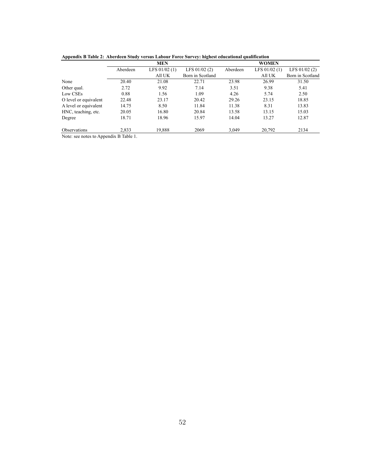|                       |          | <b>MEN</b>     |                  | <b>WOMEN</b> |                |                  |
|-----------------------|----------|----------------|------------------|--------------|----------------|------------------|
|                       | Aberdeen | LFS $01/02(1)$ | LFS $01/02(2)$   | Aberdeen     | LFS $01/02(1)$ | LFS $01/02(2)$   |
|                       |          | All UK         | Born in Scotland |              | All UK         | Born in Scotland |
| None                  | 20.40    | 21.08          | 22.71            | 23.98        | 26.99          | 31.50            |
| Other qual.           | 2.72     | 9.92           | 7.14             | 3.51         | 9.38           | 5.41             |
| Low CSEs              | 0.88     | 1.56           | 1.09             | 4.26         | 5.74           | 2.50             |
| O level or equivalent | 22.48    | 23.17          | 20.42            | 29.26        | 23.15          | 18.85            |
| A level or equivalent | 14.75    | 8.50           | 11.84            | 11.38        | 8.31           | 13.83            |
| HNC, teaching, etc.   | 20.05    | 16.80          | 20.84            | 13.58        | 13.15          | 15.03            |
| Degree                | 18.71    | 18.96          | 15.97            | 14.04        | 13.27          | 12.87            |
| <b>Observations</b>   | 2,833    | 19,888         | 2069             | 3,049        | 20,792         | 2134             |

**Appendix B Table 2: Aberdeen Study versus Labour Force Survey: highest educational qualification**

Note: see notes to Appendix B Table 1.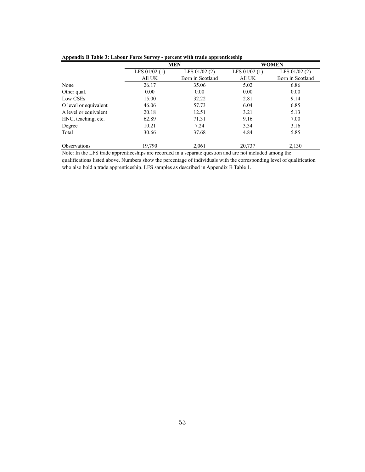|                       | $\mu$<br>percent with traue apprenticesmp |                  |                |                  |  |  |  |  |  |
|-----------------------|-------------------------------------------|------------------|----------------|------------------|--|--|--|--|--|
|                       |                                           | <b>MEN</b>       |                | <b>WOMEN</b>     |  |  |  |  |  |
|                       | LFS $01/02(1)$                            | LFS $01/02(2)$   | LFS $01/02(1)$ | LFS $01/02(2)$   |  |  |  |  |  |
|                       | All UK                                    | Born in Scotland | All UK         | Born in Scotland |  |  |  |  |  |
| None                  | 26.17                                     | 35.06            | 5.02           | 6.86             |  |  |  |  |  |
| Other qual.           | 0.00                                      | 0.00             | 0.00           | 0.00             |  |  |  |  |  |
| Low CSEs              | 15.00                                     | 32.22            | 2.81           | 9.14             |  |  |  |  |  |
| O level or equivalent | 46.06                                     | 57.73            | 6.04           | 6.85             |  |  |  |  |  |
| A level or equivalent | 20.18                                     | 12.51            | 3.21           | 5.13             |  |  |  |  |  |
| HNC, teaching, etc.   | 62.89                                     | 71.31            | 9.16           | 7.00             |  |  |  |  |  |
| Degree                | 10.21                                     | 7.24             | 3.34           | 3.16             |  |  |  |  |  |
| Total                 | 30.66                                     | 37.68            | 4.84           | 5.85             |  |  |  |  |  |
| <b>Observations</b>   | 19,790                                    | 2.061            | 20.737         | 2,130            |  |  |  |  |  |

**Appendix B Table 3: Labour Force Survey - percent with trade apprenticeship**

Note: In the LFS trade apprenticeships are recorded in a separate question and are not included among the qualifications listed above. Numbers show the percentage of individuals with the corresponding level of qualification who also hold a trade apprenticeship. LFS samples as described in Appendix B Table 1.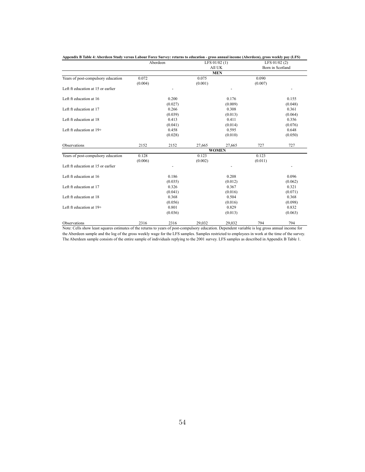|                                    |         | Aberdeen | LFS $01/02(1)$ |              | LFS $01/02(2)$ |                  |
|------------------------------------|---------|----------|----------------|--------------|----------------|------------------|
|                                    |         |          |                | All UK       |                | Born in Scotland |
|                                    |         |          |                | <b>MEN</b>   |                |                  |
| Years of post-compulsory education | 0.072   |          | 0.075          |              | 0.090          |                  |
|                                    | (0.004) |          | (0.001)        |              | (0.007)        |                  |
| Left ft education at 15 or earlier |         |          |                |              |                |                  |
| Left ft education at 16            |         | 0.200    |                | 0.176        |                | 0.155            |
|                                    |         | (0.027)  |                | (0.009)      |                | (0.048)          |
| Left ft education at 17            |         | 0.266    |                | 0.308        |                | 0.361            |
|                                    |         | (0.039)  |                | (0.013)      |                | (0.064)          |
| Left ft education at 18            |         | 0.413    |                | 0.411        |                | 0.356            |
|                                    |         | (0.041)  |                | (0.014)      |                | (0.076)          |
| Left ft education at 19+           |         | 0.458    |                | 0.595        |                | 0.648            |
|                                    |         | (0.028)  |                | (0.010)      |                | (0.050)          |
| Observations                       | 2152    | 2152     | 27,665         | 27,665       | 727            | 727              |
|                                    |         |          |                | <b>WOMEN</b> |                |                  |
| Years of post-compulsory education | 0.128   |          | 0.123          |              | 0.123          |                  |
|                                    | (0.006) |          | (0.002)        |              | (0.011)        |                  |
| Left ft education at 15 or earlier |         |          |                |              |                |                  |
| Left ft education at 16            |         | 0.186    |                | 0.208        |                | 0.096            |
|                                    |         | (0.035)  |                | (0.012)      |                | (0.062)          |
| Left ft education at 17            |         | 0.326    |                | 0.367        |                | 0.321            |
|                                    |         | (0.041)  |                | (0.016)      |                | (0.071)          |
| Left ft education at 18            |         | 0.368    |                | 0.504        |                | 0.368            |
|                                    |         | (0.056)  |                | (0.016)      |                | (0.098)          |
| Left ft education at 19+           |         | 0.801    |                | 0.829        |                | 0.832            |
|                                    |         | (0.036)  |                | (0.013)      |                | (0.063)          |
| Observations                       | 2316    | 2316     | 29.032         | 29.032       | 794            | 794              |

**Appendix B Table 4: Aberdeen Study versus Labour Force Survey: returns to education - gross annual income (Aberdeen), gross weekly pay (LFS)**

Note: Cells show least squares estimates of the returns to years of post-compulsory education. Dependent variable is log gross annual income for the Aberdeen sample and the log of the gross weekly wage for the LFS samples. Samples restricted to employees in work at the time of the survey. The Aberdeen sample consists of the entire sample of individuals replying to the 2001 survey. LFS samples as described in Appendix B Table 1.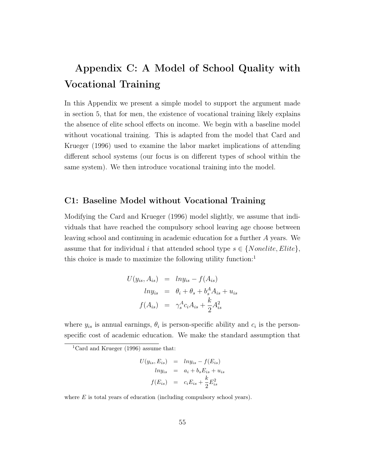# Appendix C: A Model of School Quality with Vocational Training

In this Appendix we present a simple model to support the argument made in section 5, that for men, the existence of vocational training likely explains the absence of elite school effects on income. We begin with a baseline model without vocational training. This is adapted from the model that Card and Krueger (1996) used to examine the labor market implications of attending different school systems (our focus is on different types of school within the same system). We then introduce vocational training into the model.

### C1: Baseline Model without Vocational Training

Modifying the Card and Krueger (1996) model slightly, we assume that individuals that have reached the compulsory school leaving age choose between leaving school and continuing in academic education for a further A years. We assume that for individual i that attended school type  $s \in \{Nonelite, Elite\},\$ this choice is made to maximize the following utility function:<sup>1</sup>

$$
U(y_{is}, A_{is}) = lny_{is} - f(A_{is})
$$
  
\n
$$
lny_{is} = \theta_i + \theta_s + b_s^A A_{is} + u_{is}
$$
  
\n
$$
f(A_{is}) = \gamma_s^A c_i A_{is} + \frac{k}{2} A_{is}^2
$$

where  $y_{is}$  is annual earnings,  $\theta_i$  is person-specific ability and  $c_i$  is the personspecific cost of academic education. We make the standard assumption that

<sup>1</sup>Card and Krueger (1996) assume that:

$$
U(y_{is}, E_{is}) = lny_{is} - f(E_{is})
$$
  
\n
$$
lny_{is} = a_i + b_s E_{is} + u_{is}
$$
  
\n
$$
f(E_{is}) = c_i E_{is} + \frac{k}{2} E_{is}^2
$$

where  $E$  is total years of education (including compulsory school years).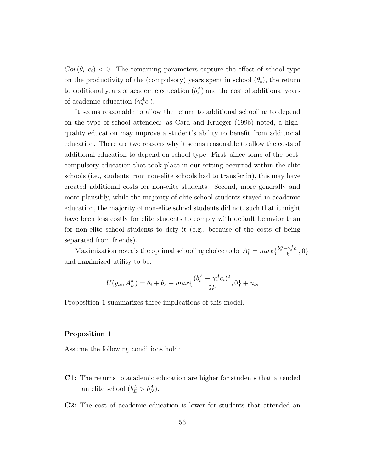$Cov(\theta_i, c_i)$  < 0. The remaining parameters capture the effect of school type on the productivity of the (compulsory) years spent in school  $(\theta_s)$ , the return to additional years of academic education  $(b_s^A)$  and the cost of additional years of academic education  $(\gamma_s^A c_i)$ .

It seems reasonable to allow the return to additional schooling to depend on the type of school attended: as Card and Krueger (1996) noted, a highquality education may improve a student's ability to benefit from additional education. There are two reasons why it seems reasonable to allow the costs of additional education to depend on school type. First, since some of the postcompulsory education that took place in our setting occurred within the elite schools (i.e., students from non-elite schools had to transfer in), this may have created additional costs for non-elite students. Second, more generally and more plausibly, while the majority of elite school students stayed in academic education, the majority of non-elite school students did not, such that it might have been less costly for elite students to comply with default behavior than for non-elite school students to defy it (e.g., because of the costs of being separated from friends).

Maximization reveals the optimal schooling choice to be  $A_i^* = max \{ \frac{b_s^A - \gamma_s^A c_i}{k} \}$  $\frac{\gamma_s \cdot c_i}{k}, 0 \}$ and maximized utility to be:

$$
U(y_{is}, A_{is}^*) = \theta_i + \theta_s + \max\{\frac{(b_s^A - \gamma_s^A c_i)^2}{2k}, 0\} + u_{is}
$$

Proposition 1 summarizes three implications of this model.

#### Proposition 1

Assume the following conditions hold:

- C1: The returns to academic education are higher for students that attended an elite school  $(b_E^A > b_N^A)$ .
- C2: The cost of academic education is lower for students that attended an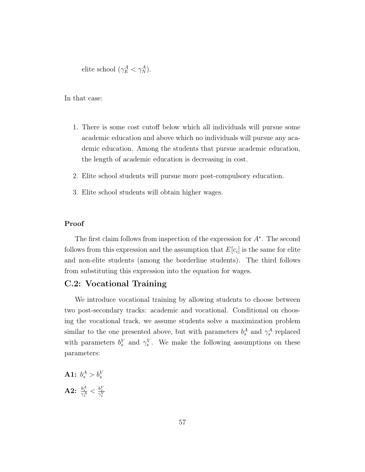elite school  $(\gamma_E^A < \gamma_N^A)$ .

In that case:

- 1. There is some cost cutoff below which all individuals will pursue some academic education and above which no individuals will pursue any academic education. Among the students that pursue academic education, the length of academic education is decreasing in cost.
- 2. Elite school students will pursue more post-compulsory education.
- 3. Elite school students will obtain higher wages.

#### Proof

The first claim follows from inspection of the expression for  $A^*$ . The second follows from this expression and the assumption that  $E[c_i]$  is the same for elite and non-elite students (among the borderline students). The third follows from substituting this expression into the equation for wages.

### C.2: Vocational Training

We introduce vocational training by allowing students to choose between two post-secondary tracks: academic and vocational. Conditional on choosing the vocational track, we assume students solve a maximization problem similar to the one presented above, but with parameters  $b_s^A$  and  $\gamma_s^A$  replaced with parameters  $b_s^V$  and  $\gamma_s^V$ . We make the following assumptions on these parameters:

 $\mathbf{A1:}\:\:b^A_s>b^V_s$  $\textbf{A2:} \ \frac{b_s^A}{\gamma_s^A} < \frac{b_s^V}{\gamma_s^V}$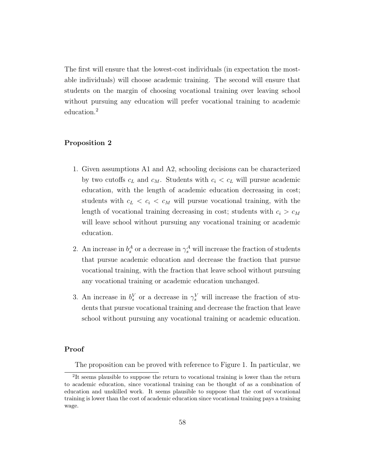The first will ensure that the lowest-cost individuals (in expectation the mostable individuals) will choose academic training. The second will ensure that students on the margin of choosing vocational training over leaving school without pursuing any education will prefer vocational training to academic education.<sup>2</sup>

#### Proposition 2

- 1. Given assumptions A1 and A2, schooling decisions can be characterized by two cutoffs  $c<sub>L</sub>$  and  $c<sub>M</sub>$ . Students with  $c<sub>i</sub> < c<sub>L</sub>$  will pursue academic education, with the length of academic education decreasing in cost; students with  $c_L < c_i < c_M$  will pursue vocational training, with the length of vocational training decreasing in cost; students with  $c_i > c_M$ will leave school without pursuing any vocational training or academic education.
- 2. An increase in  $b_s^A$  or a decrease in  $\gamma_s^A$  will increase the fraction of students that pursue academic education and decrease the fraction that pursue vocational training, with the fraction that leave school without pursuing any vocational training or academic education unchanged.
- 3. An increase in  $b_s^V$  or a decrease in  $\gamma_s^V$  will increase the fraction of students that pursue vocational training and decrease the fraction that leave school without pursuing any vocational training or academic education.

#### Proof

The proposition can be proved with reference to Figure 1. In particular, we

<sup>&</sup>lt;sup>2</sup>It seems plausible to suppose the return to vocational training is lower than the return to academic education, since vocational training can be thought of as a combination of education and unskilled work. It seems plausible to suppose that the cost of vocational training is lower than the cost of academic education since vocational training pays a training wage.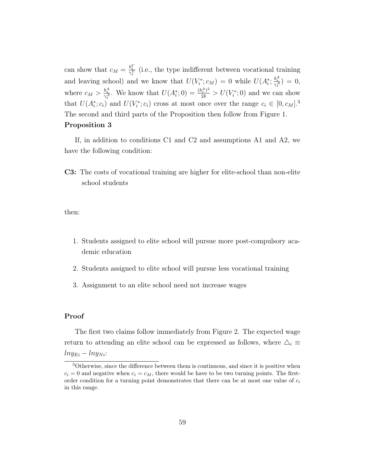can show that  $c_M = \frac{b_s^V}{\gamma_s^V}$  (i.e., the type indifferent between vocational training and leaving school) and we know that  $U(V_i^*; c_M) = 0$  while  $U(A_i^*; \frac{b_s^A}{\gamma_s^A}) = 0$ , s where  $c_M > \frac{b_s^A}{\gamma_s^A}$ . We know that  $U(A_i^*; 0) = \frac{(b_s^A)^2}{2k} > U(V_i^*; 0)$  and we can show that  $U(A_i^*; c_i)$  and  $U(V_i^*; c_i)$  cross at most once over the range  $c_i \in [0, c_M]$ .<sup>3</sup> The second and third parts of the Proposition then follow from Figure 1. Proposition 3

If, in addition to conditions C1 and C2 and assumptions A1 and A2, we have the following condition:

C3: The costs of vocational training are higher for elite-school than non-elite school students

then:

- 1. Students assigned to elite school will pursue more post-compulsory academic education
- 2. Students assigned to elite school will pursue less vocational training
- 3. Assignment to an elite school need not increase wages

#### Proof

The first two claims follow immediately from Figure 2. The expected wage return to attending an elite school can be expressed as follows, where  $\Delta_i \equiv$  $ln y_{E_i} - ln y_{Ni}$ 

<sup>3</sup>Otherwise, since the difference between them is continuous, and since it is positive when  $c_i = 0$  and negative when  $c_i = c_M$ , there would be have to be two turning points. The firstorder condition for a turning point demonstrates that there can be at most one value of  $c_i$ in this range.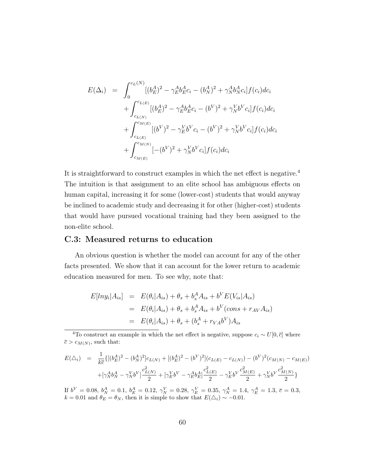$$
E(\Delta_i) = \int_0^{c_L(N)} [(b_E^A)^2 - \gamma_E^A b_E^A c_i - (b_N^A)^2 + \gamma_N^A b_N^A c_i] f(c_i) dc_i
$$
  
+ 
$$
\int_{c_{L(N)}}^{c_{L(E)}} [(b_E^A)^2 - \gamma_E^A b_E^A c_i - (b^V)^2 + \gamma_N^V b^V c_i] f(c_i) dc_i
$$
  
+ 
$$
\int_{c_{L(E)}}^{c_{M(E)}} [(b^V)^2 - \gamma_E^V b^V c_i - (b^V)^2 + \gamma_N^V b^V c_i] f(c_i) dc_i
$$
  
+ 
$$
\int_{c_{M(E)}}^{c_{M(N)}} [- (b^V)^2 + \gamma_N^V b^V c_i] f(c_i) dc_i
$$

It is straightforward to construct examples in which the net effect is negative.<sup>4</sup> The intuition is that assignment to an elite school has ambiguous effects on human capital, increasing it for some (lower-cost) students that would anyway be inclined to academic study and decreasing it for other (higher-cost) students that would have pursued vocational training had they been assigned to the non-elite school.

### C.3: Measured returns to education

An obvious question is whether the model can account for any of the other facts presented. We show that it can account for the lower return to academic education measured for men. To see why, note that:

$$
E[lnyi|Ais] = E(\thetai|Ais) + \thetas + bsA Ais + bV E(Vis|Ais)
$$
  
= E(\theta<sub>i</sub>|A<sub>is</sub>) + \theta<sub>s</sub> + b<sub>s</sub><sup>A</sup> A<sub>is</sub> + b<sup>V</sup> (cons + r<sub>AV</sub>A<sub>is</sub>)  
= E(\theta<sub>i</sub>|A<sub>is</sub>) + \theta<sub>s</sub> + (b<sub>s</sub><sup>A</sup> + r<sub>V</sub>Ab<sup>V</sup>)A<sub>is</sub>

<sup>4</sup>To construct an example in which the net effect is negative, suppose  $c_i \sim U[0, \bar{c}]$  where  $\overline{c} > c_{M(N)}$ , such that:

$$
E(\triangle_i) = \frac{1}{k\bar{c}} \{ [(b_E^A)^2 - (b_N^A)^2] c_{L(N)} + [(b_E^A)^2 - (b^V)^2] (c_{L(E)} - c_{L(N)}) - (b^V)^2 (c_{M(N)} - c_{M(E)})
$$
  
+ 
$$
[\gamma_N^A b_N^A - \gamma_N^V b^V] \frac{c_{L(N)}^2}{2} + [\gamma_E^V b^V - \gamma_E^A b_E^A] \frac{c_{L(E)}^2}{2} - \gamma_E^V b^V \frac{c_{M(E)}^2}{2} + \gamma_N^V b^V \frac{c_{M(N)}^2}{2} \}
$$

If  $b^V = 0.08$ ,  $b^A_N = 0.1$ ,  $b^A_E = 0.12$ ,  $\gamma^V_N = 0.28$ ,  $\gamma^V_E = 0.35$ ,  $\gamma^A_N = 1.4$ ,  $\gamma^A_E = 1.3$ ,  $\bar{c} = 0.3$ ,  $k = 0.01$  and  $\theta_E = \theta_N$ , then it is simple to show that  $E(\Delta_i) \sim -0.01$ .